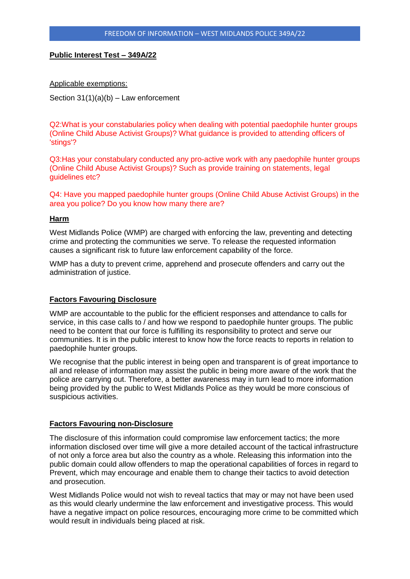# **Public Interest Test – 349A/22**

Applicable exemptions:

Section  $31(1)(a)(b)$  – Law enforcement

Q2:What is your constabularies policy when dealing with potential paedophile hunter groups (Online Child Abuse Activist Groups)? What guidance is provided to attending officers of 'stings'?

Q3:Has your constabulary conducted any pro-active work with any paedophile hunter groups (Online Child Abuse Activist Groups)? Such as provide training on statements, legal guidelines etc?

Q4: Have you mapped paedophile hunter groups (Online Child Abuse Activist Groups) in the area you police? Do you know how many there are?

#### **Harm**

West Midlands Police (WMP) are charged with enforcing the law, preventing and detecting crime and protecting the communities we serve. To release the requested information causes a significant risk to future law enforcement capability of the force.

WMP has a duty to prevent crime, apprehend and prosecute offenders and carry out the administration of justice.

## **Factors Favouring Disclosure**

WMP are accountable to the public for the efficient responses and attendance to calls for service, in this case calls to / and how we respond to paedophile hunter groups. The public need to be content that our force is fulfilling its responsibility to protect and serve our communities. It is in the public interest to know how the force reacts to reports in relation to paedophile hunter groups.

We recognise that the public interest in being open and transparent is of great importance to all and release of information may assist the public in being more aware of the work that the police are carrying out. Therefore, a better awareness may in turn lead to more information being provided by the public to West Midlands Police as they would be more conscious of suspicious activities.

## **Factors Favouring non-Disclosure**

The disclosure of this information could compromise law enforcement tactics; the more information disclosed over time will give a more detailed account of the tactical infrastructure of not only a force area but also the country as a whole. Releasing this information into the public domain could allow offenders to map the operational capabilities of forces in regard to Prevent, which may encourage and enable them to change their tactics to avoid detection and prosecution.

West Midlands Police would not wish to reveal tactics that may or may not have been used as this would clearly undermine the law enforcement and investigative process. This would have a negative impact on police resources, encouraging more crime to be committed which would result in individuals being placed at risk.